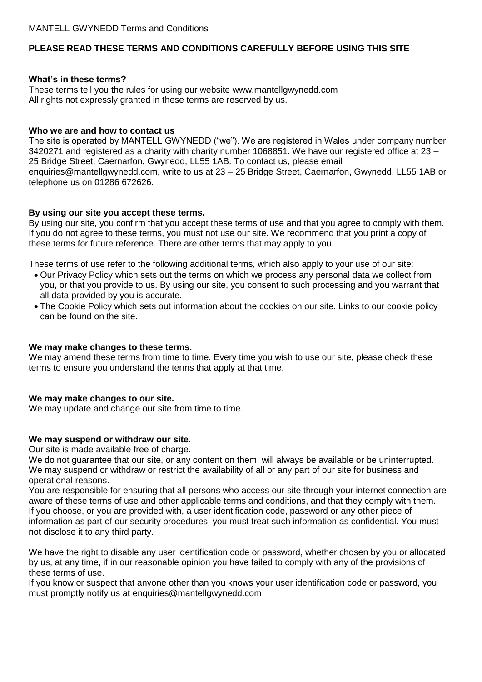# **PLEASE READ THESE TERMS AND CONDITIONS CAREFULLY BEFORE USING THIS SITE**

#### **What's in these terms?**

These terms tell you the rules for using our website www.mantellgwynedd.com All rights not expressly granted in these terms are reserved by us.

#### **Who we are and how to contact us**

The site is operated by MANTELL GWYNEDD ("we"). We are registered in Wales under company number 3420271 and registered as a charity with charity number 1068851. We have our registered office at 23 – 25 Bridge Street, Caernarfon, Gwynedd, LL55 1AB. To contact us, please email enquiries@mantellgwynedd.com, write to us at 23 – 25 Bridge Street, Caernarfon, Gwynedd, LL55 1AB or telephone us on 01286 672626.

### **By using our site you accept these terms.**

By using our site, you confirm that you accept these terms of use and that you agree to comply with them. If you do not agree to these terms, you must not use our site. We recommend that you print a copy of these terms for future reference. There are other terms that may apply to you.

These terms of use refer to the following additional terms, which also apply to your use of our site:

- Our Privacy Policy which sets out the terms on which we process any personal data we collect from you, or that you provide to us. By using our site, you consent to such processing and you warrant that all data provided by you is accurate.
- The Cookie Policy which sets out information about the cookies on our site. Links to our cookie policy can be found on the site.

### **We may make changes to these terms.**

We may amend these terms from time to time. Every time you wish to use our site, please check these terms to ensure you understand the terms that apply at that time.

### **We may make changes to our site.**

We may update and change our site from time to time.

### **We may suspend or withdraw our site.**

Our site is made available free of charge.

We do not guarantee that our site, or any content on them, will always be available or be uninterrupted. We may suspend or withdraw or restrict the availability of all or any part of our site for business and operational reasons.

You are responsible for ensuring that all persons who access our site through your internet connection are aware of these terms of use and other applicable terms and conditions, and that they comply with them. If you choose, or you are provided with, a user identification code, password or any other piece of information as part of our security procedures, you must treat such information as confidential. You must not disclose it to any third party.

We have the right to disable any user identification code or password, whether chosen by you or allocated by us, at any time, if in our reasonable opinion you have failed to comply with any of the provisions of these terms of use.

If you know or suspect that anyone other than you knows your user identification code or password, you must promptly notify us at enquiries@mantellgwynedd.com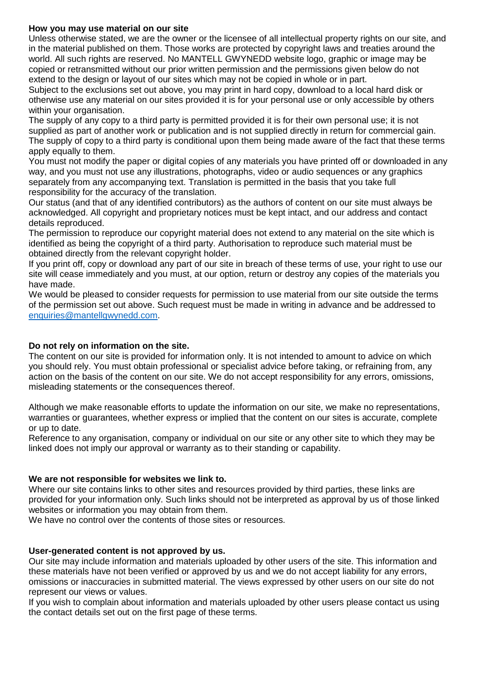### **How you may use material on our site**

Unless otherwise stated, we are the owner or the licensee of all intellectual property rights on our site, and in the material published on them. Those works are protected by copyright laws and treaties around the world. All such rights are reserved. No MANTELL GWYNEDD website logo, graphic or image may be copied or retransmitted without our prior written permission and the permissions given below do not extend to the design or layout of our sites which may not be copied in whole or in part.

Subject to the exclusions set out above, you may print in hard copy, download to a local hard disk or otherwise use any material on our sites provided it is for your personal use or only accessible by others within your organisation.

The supply of any copy to a third party is permitted provided it is for their own personal use; it is not supplied as part of another work or publication and is not supplied directly in return for commercial gain. The supply of copy to a third party is conditional upon them being made aware of the fact that these terms apply equally to them.

You must not modify the paper or digital copies of any materials you have printed off or downloaded in any way, and you must not use any illustrations, photographs, video or audio sequences or any graphics separately from any accompanying text. Translation is permitted in the basis that you take full responsibility for the accuracy of the translation.

Our status (and that of any identified contributors) as the authors of content on our site must always be acknowledged. All copyright and proprietary notices must be kept intact, and our address and contact details reproduced.

The permission to reproduce our copyright material does not extend to any material on the site which is identified as being the copyright of a third party. Authorisation to reproduce such material must be obtained directly from the relevant copyright holder.

If you print off, copy or download any part of our site in breach of these terms of use, your right to use our site will cease immediately and you must, at our option, return or destroy any copies of the materials you have made.

We would be pleased to consider requests for permission to use material from our site outside the terms of the permission set out above. Such request must be made in writing in advance and be addressed to [enquiries@mantellgwynedd.com.](mailto:enquiries@mantellgwynedd.com)

## **Do not rely on information on the site.**

The content on our site is provided for information only. It is not intended to amount to advice on which you should rely. You must obtain professional or specialist advice before taking, or refraining from, any action on the basis of the content on our site. We do not accept responsibility for any errors, omissions, misleading statements or the consequences thereof.

Although we make reasonable efforts to update the information on our site, we make no representations, warranties or guarantees, whether express or implied that the content on our sites is accurate, complete or up to date.

Reference to any organisation, company or individual on our site or any other site to which they may be linked does not imply our approval or warranty as to their standing or capability.

### **We are not responsible for websites we link to.**

Where our site contains links to other sites and resources provided by third parties, these links are provided for your information only. Such links should not be interpreted as approval by us of those linked websites or information you may obtain from them.

We have no control over the contents of those sites or resources.

### **User-generated content is not approved by us.**

Our site may include information and materials uploaded by other users of the site. This information and these materials have not been verified or approved by us and we do not accept liability for any errors, omissions or inaccuracies in submitted material. The views expressed by other users on our site do not represent our views or values.

If you wish to complain about information and materials uploaded by other users please contact us using the contact details set out on the first page of these terms.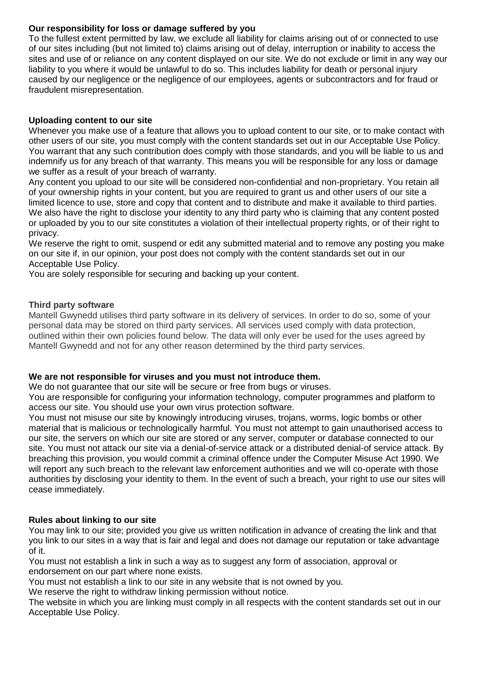## **Our responsibility for loss or damage suffered by you**

To the fullest extent permitted by law, we exclude all liability for claims arising out of or connected to use of our sites including (but not limited to) claims arising out of delay, interruption or inability to access the sites and use of or reliance on any content displayed on our site. We do not exclude or limit in any way our liability to you where it would be unlawful to do so. This includes liability for death or personal injury caused by our negligence or the negligence of our employees, agents or subcontractors and for fraud or fraudulent misrepresentation.

### **Uploading content to our site**

Whenever you make use of a feature that allows you to upload content to our site, or to make contact with other users of our site, you must comply with the content standards set out in our Acceptable Use Policy. You warrant that any such contribution does comply with those standards, and you will be liable to us and indemnify us for any breach of that warranty. This means you will be responsible for any loss or damage we suffer as a result of your breach of warranty.

Any content you upload to our site will be considered non-confidential and non-proprietary. You retain all of your ownership rights in your content, but you are required to grant us and other users of our site a limited licence to use, store and copy that content and to distribute and make it available to third parties. We also have the right to disclose your identity to any third party who is claiming that any content posted or uploaded by you to our site constitutes a violation of their intellectual property rights, or of their right to privacy.

We reserve the right to omit, suspend or edit any submitted material and to remove any posting you make on our site if, in our opinion, your post does not comply with the content standards set out in our Acceptable Use Policy.

You are solely responsible for securing and backing up your content.

### **Third party software**

Mantell Gwynedd utilises third party software in its delivery of services. In order to do so, some of your personal data may be stored on third party services. All services used comply with data protection, outlined within their own policies found below. The data will only ever be used for the uses agreed by Mantell Gwynedd and not for any other reason determined by the third party services.

### **We are not responsible for viruses and you must not introduce them.**

We do not quarantee that our site will be secure or free from bugs or viruses.

You are responsible for configuring your information technology, computer programmes and platform to access our site. You should use your own virus protection software.

You must not misuse our site by knowingly introducing viruses, trojans, worms, logic bombs or other material that is malicious or technologically harmful. You must not attempt to gain unauthorised access to our site, the servers on which our site are stored or any server, computer or database connected to our site. You must not attack our site via a denial-of-service attack or a distributed denial-of service attack. By breaching this provision, you would commit a criminal offence under the Computer Misuse Act 1990. We will report any such breach to the relevant law enforcement authorities and we will co-operate with those authorities by disclosing your identity to them. In the event of such a breach, your right to use our sites will cease immediately.

### **Rules about linking to our site**

You may link to our site; provided you give us written notification in advance of creating the link and that you link to our sites in a way that is fair and legal and does not damage our reputation or take advantage of it.

You must not establish a link in such a way as to suggest any form of association, approval or endorsement on our part where none exists.

You must not establish a link to our site in any website that is not owned by you.

We reserve the right to withdraw linking permission without notice.

The website in which you are linking must comply in all respects with the content standards set out in our Acceptable Use Policy.